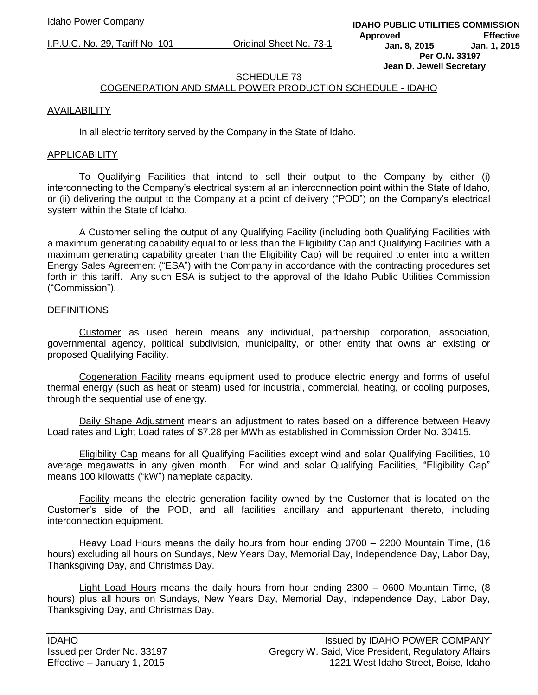# SCHEDULE 73

# COGENERATION AND SMALL POWER PRODUCTION SCHEDULE - IDAHO

### AVAILABILITY

In all electric territory served by the Company in the State of Idaho.

#### APPLICABILITY

To Qualifying Facilities that intend to sell their output to the Company by either (i) interconnecting to the Company's electrical system at an interconnection point within the State of Idaho, or (ii) delivering the output to the Company at a point of delivery ("POD") on the Company's electrical system within the State of Idaho.

A Customer selling the output of any Qualifying Facility (including both Qualifying Facilities with a maximum generating capability equal to or less than the Eligibility Cap and Qualifying Facilities with a maximum generating capability greater than the Eligibility Cap) will be required to enter into a written Energy Sales Agreement ("ESA") with the Company in accordance with the contracting procedures set forth in this tariff. Any such ESA is subject to the approval of the Idaho Public Utilities Commission ("Commission").

#### **DEFINITIONS**

Customer as used herein means any individual, partnership, corporation, association, governmental agency, political subdivision, municipality, or other entity that owns an existing or proposed Qualifying Facility.

Cogeneration Facility means equipment used to produce electric energy and forms of useful thermal energy (such as heat or steam) used for industrial, commercial, heating, or cooling purposes, through the sequential use of energy.

Daily Shape Adjustment means an adjustment to rates based on a difference between Heavy Load rates and Light Load rates of \$7.28 per MWh as established in Commission Order No. 30415.

Eligibility Cap means for all Qualifying Facilities except wind and solar Qualifying Facilities, 10 average megawatts in any given month. For wind and solar Qualifying Facilities, "Eligibility Cap" means 100 kilowatts ("kW") nameplate capacity.

Facility means the electric generation facility owned by the Customer that is located on the Customer's side of the POD, and all facilities ancillary and appurtenant thereto, including interconnection equipment.

Heavy Load Hours means the daily hours from hour ending 0700 – 2200 Mountain Time, (16 hours) excluding all hours on Sundays, New Years Day, Memorial Day, Independence Day, Labor Day, Thanksgiving Day, and Christmas Day.

Light Load Hours means the daily hours from hour ending 2300 – 0600 Mountain Time, (8 hours) plus all hours on Sundays, New Years Day, Memorial Day, Independence Day, Labor Day, Thanksgiving Day, and Christmas Day.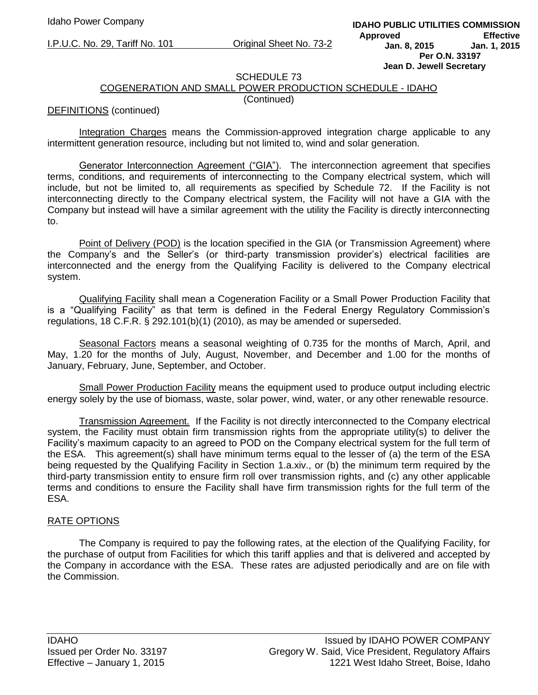#### SCHEDULE 73

# COGENERATION AND SMALL POWER PRODUCTION SCHEDULE - IDAHO

#### (Continued)

#### DEFINITIONS (continued)

Integration Charges means the Commission-approved integration charge applicable to any intermittent generation resource, including but not limited to, wind and solar generation.

Generator Interconnection Agreement ("GIA"). The interconnection agreement that specifies terms, conditions, and requirements of interconnecting to the Company electrical system, which will include, but not be limited to, all requirements as specified by Schedule 72. If the Facility is not interconnecting directly to the Company electrical system, the Facility will not have a GIA with the Company but instead will have a similar agreement with the utility the Facility is directly interconnecting to.

Point of Delivery (POD) is the location specified in the GIA (or Transmission Agreement) where the Company's and the Seller's (or third-party transmission provider's) electrical facilities are interconnected and the energy from the Qualifying Facility is delivered to the Company electrical system.

Qualifying Facility shall mean a Cogeneration Facility or a Small Power Production Facility that is a "Qualifying Facility" as that term is defined in the Federal Energy Regulatory Commission's regulations, 18 C.F.R. § 292.101(b)(1) (2010), as may be amended or superseded.

Seasonal Factors means a seasonal weighting of 0.735 for the months of March, April, and May, 1.20 for the months of July, August, November, and December and 1.00 for the months of January, February, June, September, and October.

Small Power Production Facility means the equipment used to produce output including electric energy solely by the use of biomass, waste, solar power, wind, water, or any other renewable resource.

Transmission Agreement. If the Facility is not directly interconnected to the Company electrical system, the Facility must obtain firm transmission rights from the appropriate utility(s) to deliver the Facility's maximum capacity to an agreed to POD on the Company electrical system for the full term of the ESA. This agreement(s) shall have minimum terms equal to the lesser of (a) the term of the ESA being requested by the Qualifying Facility in Section 1.a.xiv., or (b) the minimum term required by the third-party transmission entity to ensure firm roll over transmission rights, and (c) any other applicable terms and conditions to ensure the Facility shall have firm transmission rights for the full term of the ESA.

#### RATE OPTIONS

The Company is required to pay the following rates, at the election of the Qualifying Facility, for the purchase of output from Facilities for which this tariff applies and that is delivered and accepted by the Company in accordance with the ESA. These rates are adjusted periodically and are on file with the Commission.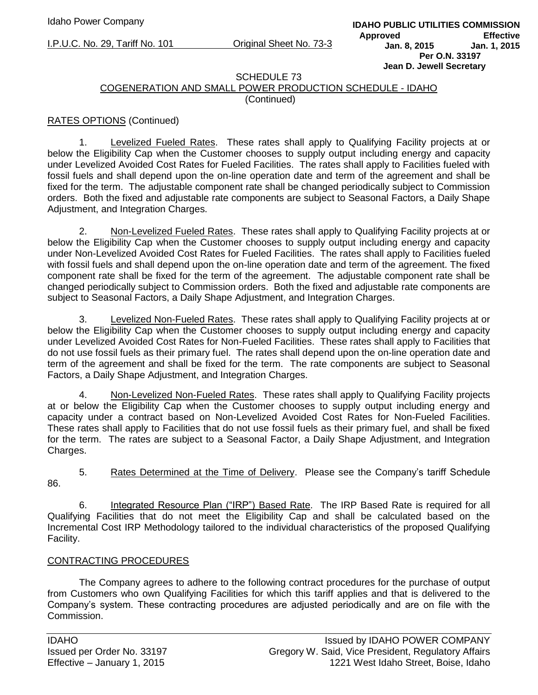#### SCHEDULE 73

# COGENERATION AND SMALL POWER PRODUCTION SCHEDULE - IDAHO (Continued)

# RATES OPTIONS (Continued)

1. Levelized Fueled Rates. These rates shall apply to Qualifying Facility projects at or below the Eligibility Cap when the Customer chooses to supply output including energy and capacity under Levelized Avoided Cost Rates for Fueled Facilities. The rates shall apply to Facilities fueled with fossil fuels and shall depend upon the on-line operation date and term of the agreement and shall be fixed for the term. The adjustable component rate shall be changed periodically subject to Commission orders. Both the fixed and adjustable rate components are subject to Seasonal Factors, a Daily Shape Adjustment, and Integration Charges.

2. Non-Levelized Fueled Rates. These rates shall apply to Qualifying Facility projects at or below the Eligibility Cap when the Customer chooses to supply output including energy and capacity under Non-Levelized Avoided Cost Rates for Fueled Facilities. The rates shall apply to Facilities fueled with fossil fuels and shall depend upon the on-line operation date and term of the agreement. The fixed component rate shall be fixed for the term of the agreement. The adjustable component rate shall be changed periodically subject to Commission orders. Both the fixed and adjustable rate components are subject to Seasonal Factors, a Daily Shape Adjustment, and Integration Charges.

3. Levelized Non-Fueled Rates. These rates shall apply to Qualifying Facility projects at or below the Eligibility Cap when the Customer chooses to supply output including energy and capacity under Levelized Avoided Cost Rates for Non-Fueled Facilities. These rates shall apply to Facilities that do not use fossil fuels as their primary fuel. The rates shall depend upon the on-line operation date and term of the agreement and shall be fixed for the term. The rate components are subject to Seasonal Factors, a Daily Shape Adjustment, and Integration Charges.

4. Non-Levelized Non-Fueled Rates. These rates shall apply to Qualifying Facility projects at or below the Eligibility Cap when the Customer chooses to supply output including energy and capacity under a contract based on Non-Levelized Avoided Cost Rates for Non-Fueled Facilities. These rates shall apply to Facilities that do not use fossil fuels as their primary fuel, and shall be fixed for the term. The rates are subject to a Seasonal Factor, a Daily Shape Adjustment, and Integration Charges.

5. Rates Determined at the Time of Delivery. Please see the Company's tariff Schedule 86.

6. Integrated Resource Plan ("IRP") Based Rate. The IRP Based Rate is required for all Qualifying Facilities that do not meet the Eligibility Cap and shall be calculated based on the Incremental Cost IRP Methodology tailored to the individual characteristics of the proposed Qualifying Facility.

# CONTRACTING PROCEDURES

The Company agrees to adhere to the following contract procedures for the purchase of output from Customers who own Qualifying Facilities for which this tariff applies and that is delivered to the Company's system. These contracting procedures are adjusted periodically and are on file with the Commission.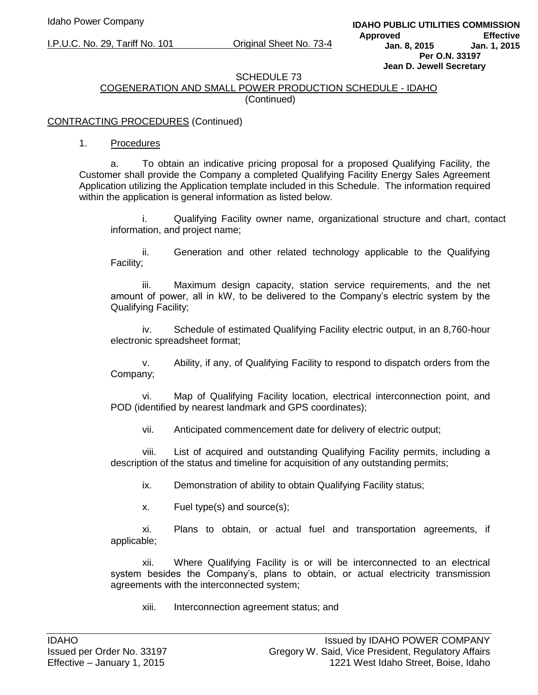# SCHEDULE 73

# COGENERATION AND SMALL POWER PRODUCTION SCHEDULE - IDAHO (Continued)

# CONTRACTING PROCEDURES (Continued)

1. Procedures

a. To obtain an indicative pricing proposal for a proposed Qualifying Facility, the Customer shall provide the Company a completed Qualifying Facility Energy Sales Agreement Application utilizing the Application template included in this Schedule. The information required within the application is general information as listed below.

i. Qualifying Facility owner name, organizational structure and chart, contact information, and project name;

ii. Generation and other related technology applicable to the Qualifying Facility;

iii. Maximum design capacity, station service requirements, and the net amount of power, all in kW, to be delivered to the Company's electric system by the Qualifying Facility;

iv. Schedule of estimated Qualifying Facility electric output, in an 8,760-hour electronic spreadsheet format;

v. Ability, if any, of Qualifying Facility to respond to dispatch orders from the Company;

vi. Map of Qualifying Facility location, electrical interconnection point, and POD (identified by nearest landmark and GPS coordinates);

vii. Anticipated commencement date for delivery of electric output;

viii. List of acquired and outstanding Qualifying Facility permits, including a description of the status and timeline for acquisition of any outstanding permits;

ix. Demonstration of ability to obtain Qualifying Facility status;

x. Fuel type(s) and source(s);

xi. Plans to obtain, or actual fuel and transportation agreements, if applicable;

xii. Where Qualifying Facility is or will be interconnected to an electrical system besides the Company's, plans to obtain, or actual electricity transmission agreements with the interconnected system;

xiii. Interconnection agreement status; and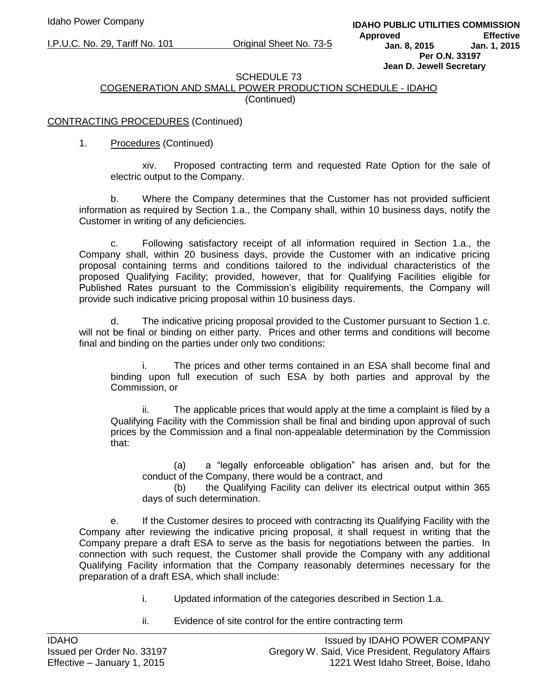#### SCHEDULE 73

# COGENERATION AND SMALL POWER PRODUCTION SCHEDULE - IDAHO (Continued)

### CONTRACTING PROCEDURES (Continued)

### 1. Procedures (Continued)

xiv. Proposed contracting term and requested Rate Option for the sale of electric output to the Company.

b. Where the Company determines that the Customer has not provided sufficient information as required by Section 1.a., the Company shall, within 10 business days, notify the Customer in writing of any deficiencies.

c. Following satisfactory receipt of all information required in Section 1.a., the Company shall, within 20 business days, provide the Customer with an indicative pricing proposal containing terms and conditions tailored to the individual characteristics of the proposed Qualifying Facility; provided, however, that for Qualifying Facilities eligible for Published Rates pursuant to the Commission's eligibility requirements, the Company will provide such indicative pricing proposal within 10 business days.

d. The indicative pricing proposal provided to the Customer pursuant to Section 1.c. will not be final or binding on either party. Prices and other terms and conditions will become final and binding on the parties under only two conditions:

The prices and other terms contained in an ESA shall become final and binding upon full execution of such ESA by both parties and approval by the Commission, or

ii. The applicable prices that would apply at the time a complaint is filed by a Qualifying Facility with the Commission shall be final and binding upon approval of such prices by the Commission and a final non-appealable determination by the Commission that:

(a) a "legally enforceable obligation" has arisen and, but for the conduct of the Company, there would be a contract, and

(b) the Qualifying Facility can deliver its electrical output within 365 days of such determination.

e. If the Customer desires to proceed with contracting its Qualifying Facility with the Company after reviewing the indicative pricing proposal, it shall request in writing that the Company prepare a draft ESA to serve as the basis for negotiations between the parties. In connection with such request, the Customer shall provide the Company with any additional Qualifying Facility information that the Company reasonably determines necessary for the preparation of a draft ESA, which shall include:

- i. Updated information of the categories described in Section 1.a.
- ii. Evidence of site control for the entire contracting term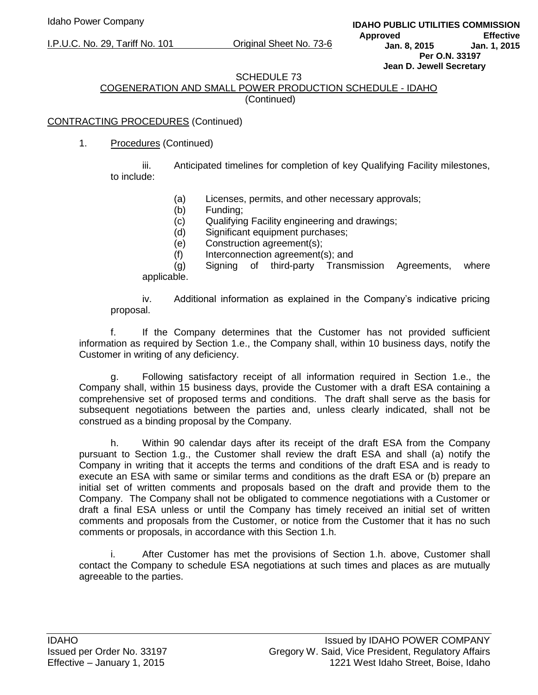#### SCHEDULE 73

# COGENERATION AND SMALL POWER PRODUCTION SCHEDULE - IDAHO (Continued)

# CONTRACTING PROCEDURES (Continued)

# 1. Procedures (Continued)

iii. Anticipated timelines for completion of key Qualifying Facility milestones, to include:

- (a) Licenses, permits, and other necessary approvals;
- (b) Funding;
- (c) Qualifying Facility engineering and drawings;
- (d) Significant equipment purchases;
- (e) Construction agreement(s);
- (f) Interconnection agreement(s); and

(g) Signing of third-party Transmission Agreements, where applicable.

iv. Additional information as explained in the Company's indicative pricing proposal.

f. If the Company determines that the Customer has not provided sufficient information as required by Section 1.e., the Company shall, within 10 business days, notify the Customer in writing of any deficiency.

g. Following satisfactory receipt of all information required in Section 1.e., the Company shall, within 15 business days, provide the Customer with a draft ESA containing a comprehensive set of proposed terms and conditions. The draft shall serve as the basis for subsequent negotiations between the parties and, unless clearly indicated, shall not be construed as a binding proposal by the Company.

h. Within 90 calendar days after its receipt of the draft ESA from the Company pursuant to Section 1.g., the Customer shall review the draft ESA and shall (a) notify the Company in writing that it accepts the terms and conditions of the draft ESA and is ready to execute an ESA with same or similar terms and conditions as the draft ESA or (b) prepare an initial set of written comments and proposals based on the draft and provide them to the Company. The Company shall not be obligated to commence negotiations with a Customer or draft a final ESA unless or until the Company has timely received an initial set of written comments and proposals from the Customer, or notice from the Customer that it has no such comments or proposals, in accordance with this Section 1.h.

i. After Customer has met the provisions of Section 1.h. above, Customer shall contact the Company to schedule ESA negotiations at such times and places as are mutually agreeable to the parties.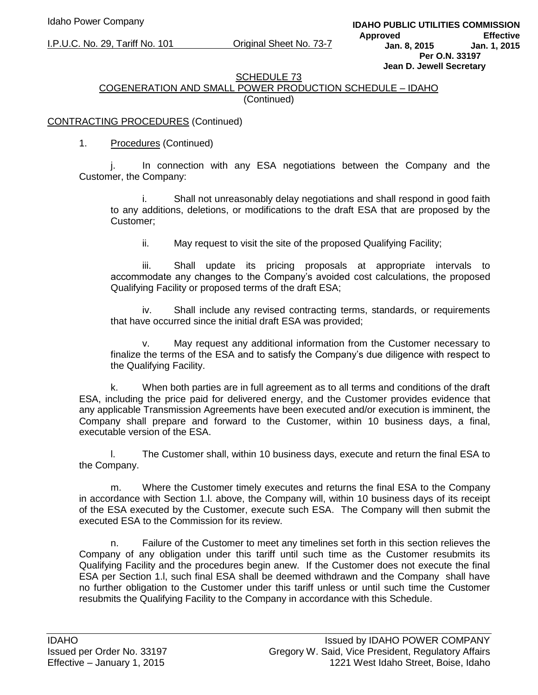# SCHEDULE 73

# COGENERATION AND SMALL POWER PRODUCTION SCHEDULE – IDAHO (Continued)

# CONTRACTING PROCEDURES (Continued)

# 1. Procedures (Continued)

j. In connection with any ESA negotiations between the Company and the Customer, the Company:

i. Shall not unreasonably delay negotiations and shall respond in good faith to any additions, deletions, or modifications to the draft ESA that are proposed by the Customer;

ii. May request to visit the site of the proposed Qualifying Facility;

iii. Shall update its pricing proposals at appropriate intervals to accommodate any changes to the Company's avoided cost calculations, the proposed Qualifying Facility or proposed terms of the draft ESA;

iv. Shall include any revised contracting terms, standards, or requirements that have occurred since the initial draft ESA was provided;

v. May request any additional information from the Customer necessary to finalize the terms of the ESA and to satisfy the Company's due diligence with respect to the Qualifying Facility.

k. When both parties are in full agreement as to all terms and conditions of the draft ESA, including the price paid for delivered energy, and the Customer provides evidence that any applicable Transmission Agreements have been executed and/or execution is imminent, the Company shall prepare and forward to the Customer, within 10 business days, a final, executable version of the ESA.

l. The Customer shall, within 10 business days, execute and return the final ESA to the Company.

m. Where the Customer timely executes and returns the final ESA to the Company in accordance with Section 1.l. above, the Company will, within 10 business days of its receipt of the ESA executed by the Customer, execute such ESA. The Company will then submit the executed ESA to the Commission for its review.

n. Failure of the Customer to meet any timelines set forth in this section relieves the Company of any obligation under this tariff until such time as the Customer resubmits its Qualifying Facility and the procedures begin anew. If the Customer does not execute the final ESA per Section 1.l, such final ESA shall be deemed withdrawn and the Company shall have no further obligation to the Customer under this tariff unless or until such time the Customer resubmits the Qualifying Facility to the Company in accordance with this Schedule.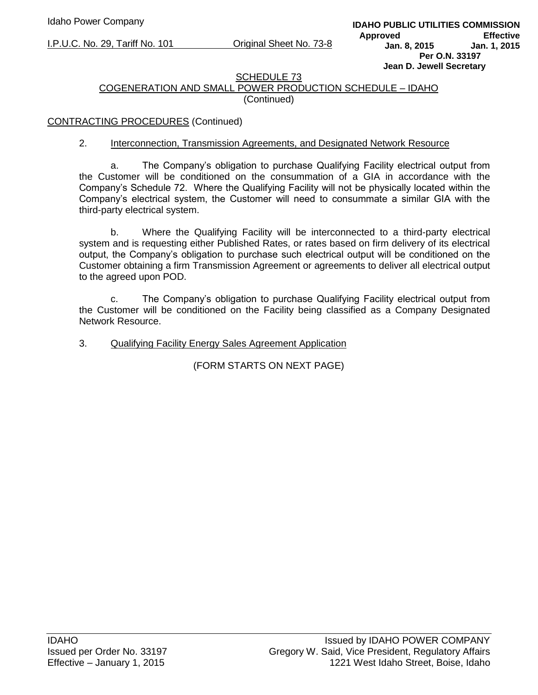### SCHEDULE 73 COGENERATION AND SMALL POWER PRODUCTION SCHEDULE – IDAHO (Continued)

# CONTRACTING PROCEDURES (Continued)

### 2. Interconnection, Transmission Agreements, and Designated Network Resource

a. The Company's obligation to purchase Qualifying Facility electrical output from the Customer will be conditioned on the consummation of a GIA in accordance with the Company's Schedule 72. Where the Qualifying Facility will not be physically located within the Company's electrical system, the Customer will need to consummate a similar GIA with the third-party electrical system.

b. Where the Qualifying Facility will be interconnected to a third-party electrical system and is requesting either Published Rates, or rates based on firm delivery of its electrical output, the Company's obligation to purchase such electrical output will be conditioned on the Customer obtaining a firm Transmission Agreement or agreements to deliver all electrical output to the agreed upon POD.

c. The Company's obligation to purchase Qualifying Facility electrical output from the Customer will be conditioned on the Facility being classified as a Company Designated Network Resource.

# 3. Qualifying Facility Energy Sales Agreement Application

(FORM STARTS ON NEXT PAGE)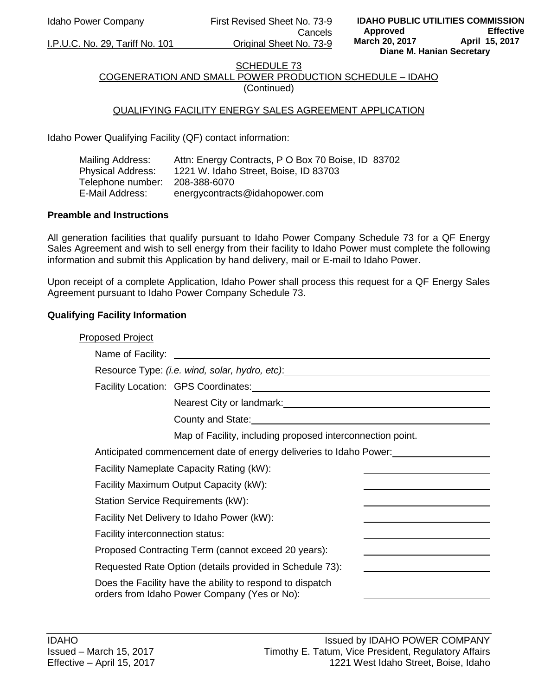Idaho Power Company First Revised Sheet No. 73-9 Cancels I.P.U.C. No. 29, Tariff No. 101 Original Sheet No. 73-9

# SCHEDULE 73 COGENERATION AND SMALL POWER PRODUCTION SCHEDULE – IDAHO

(Continued)

# QUALIFYING FACILITY ENERGY SALES AGREEMENT APPLICATION

Idaho Power Qualifying Facility (QF) contact information:

| Mailing Address:  | Attn: Energy Contracts, P O Box 70 Boise, ID 83702 |
|-------------------|----------------------------------------------------|
| Physical Address: | 1221 W. Idaho Street, Boise, ID 83703              |
| Telephone number: | 208-388-6070                                       |
| E-Mail Address:   | energycontracts@idahopower.com                     |

### **Preamble and Instructions**

All generation facilities that qualify pursuant to Idaho Power Company Schedule 73 for a QF Energy Sales Agreement and wish to sell energy from their facility to Idaho Power must complete the following information and submit this Application by hand delivery, mail or E-mail to Idaho Power.

Upon receipt of a complete Application, Idaho Power shall process this request for a QF Energy Sales Agreement pursuant to Idaho Power Company Schedule 73.

# **Qualifying Facility Information**

| <b>Proposed Project</b>          |                                                                                                           |  |
|----------------------------------|-----------------------------------------------------------------------------------------------------------|--|
|                                  |                                                                                                           |  |
|                                  | Resource Type: (i.e. wind, solar, hydro, etc): _________________________________                          |  |
|                                  | Facility Location: GPS Coordinates: Management Control of Tacility Location: CPS Coordinates:             |  |
|                                  | Nearest City or landmark:<br>Nearest City or landmark:                                                    |  |
|                                  | County and State: County and State:                                                                       |  |
|                                  | Map of Facility, including proposed interconnection point.                                                |  |
|                                  | Anticipated commencement date of energy deliveries to Idaho Power:                                        |  |
|                                  | Facility Nameplate Capacity Rating (kW):                                                                  |  |
|                                  | Facility Maximum Output Capacity (kW):                                                                    |  |
|                                  | <b>Station Service Requirements (kW):</b>                                                                 |  |
|                                  | Facility Net Delivery to Idaho Power (kW):                                                                |  |
| Facility interconnection status: |                                                                                                           |  |
|                                  | Proposed Contracting Term (cannot exceed 20 years):                                                       |  |
|                                  | Requested Rate Option (details provided in Schedule 73):                                                  |  |
|                                  | Does the Facility have the ability to respond to dispatch<br>orders from Idaho Power Company (Yes or No): |  |
|                                  |                                                                                                           |  |